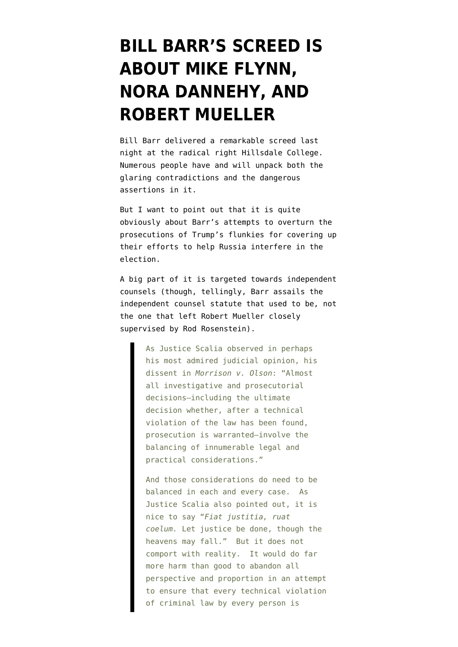# **[BILL BARR'S SCREED IS](https://www.emptywheel.net/2020/09/17/bill-barrs-screed-is-about-mike-flynn-nora-dannehy-and-robert-mueller/) [ABOUT MIKE FLYNN,](https://www.emptywheel.net/2020/09/17/bill-barrs-screed-is-about-mike-flynn-nora-dannehy-and-robert-mueller/) [NORA DANNEHY, AND](https://www.emptywheel.net/2020/09/17/bill-barrs-screed-is-about-mike-flynn-nora-dannehy-and-robert-mueller/) [ROBERT MUELLER](https://www.emptywheel.net/2020/09/17/bill-barrs-screed-is-about-mike-flynn-nora-dannehy-and-robert-mueller/)**

Bill Barr delivered a [remarkable screed](https://www.justice.gov/opa/speech/remarks-attorney-general-william-p-barr-hillsdale-college-constitution-day-event) last night at the radical right Hillsdale College. Numerous people have and will unpack both the glaring contradictions and the dangerous assertions in it.

But I want to point out that it is quite obviously about Barr's attempts to overturn the prosecutions of Trump's flunkies for covering up their efforts to help Russia interfere in the election.

A big part of it is targeted towards independent counsels (though, tellingly, Barr assails the independent counsel statute that used to be, not the one that left Robert Mueller closely supervised by Rod Rosenstein).

> As Justice Scalia observed in perhaps his most admired judicial opinion, his dissent in *Morrison v. Olson*: "Almost all investigative and prosecutorial decisions—including the ultimate decision whether, after a technical violation of the law has been found, prosecution is warranted—involve the balancing of innumerable legal and practical considerations."

And those considerations do need to be balanced in each and every case. As Justice Scalia also pointed out, it is nice to say "*Fiat justitia, ruat coelum.* Let justice be done, though the heavens may fall." But it does not comport with reality. It would do far more harm than good to abandon all perspective and proportion in an attempt to ensure that every technical violation of criminal law by every person is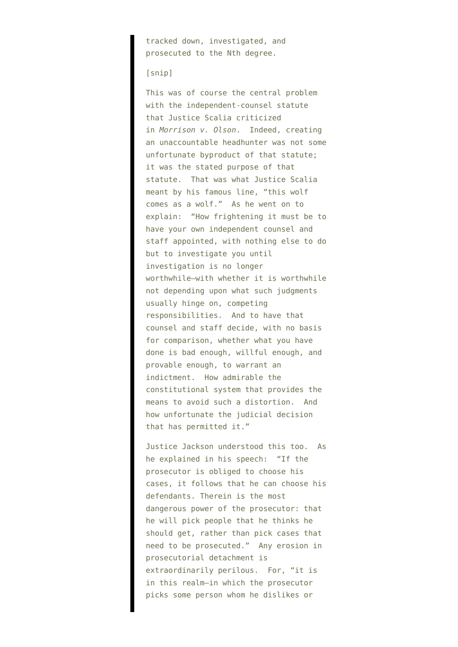tracked down, investigated, and prosecuted to the Nth degree.

#### [snip]

This was of course the central problem with the independent-counsel statute that Justice Scalia criticized in *Morrison v. Olson*. Indeed, creating an unaccountable headhunter was not some unfortunate byproduct of that statute; it was the stated purpose of that statute. That was what Justice Scalia meant by his famous line, "this wolf comes as a wolf." As he went on to explain: "How frightening it must be to have your own independent counsel and staff appointed, with nothing else to do but to investigate you until investigation is no longer worthwhile—with whether it is worthwhile not depending upon what such judgments usually hinge on, competing responsibilities. And to have that counsel and staff decide, with no basis for comparison, whether what you have done is bad enough, willful enough, and provable enough, to warrant an indictment. How admirable the constitutional system that provides the means to avoid such a distortion. And how unfortunate the judicial decision that has permitted it."

Justice Jackson understood this too. As he explained in his speech: "If the prosecutor is obliged to choose his cases, it follows that he can choose his defendants. Therein is the most dangerous power of the prosecutor: that he will pick people that he thinks he should get, rather than pick cases that need to be prosecuted." Any erosion in prosecutorial detachment is extraordinarily perilous. For, "it is in this realm—in which the prosecutor picks some person whom he dislikes or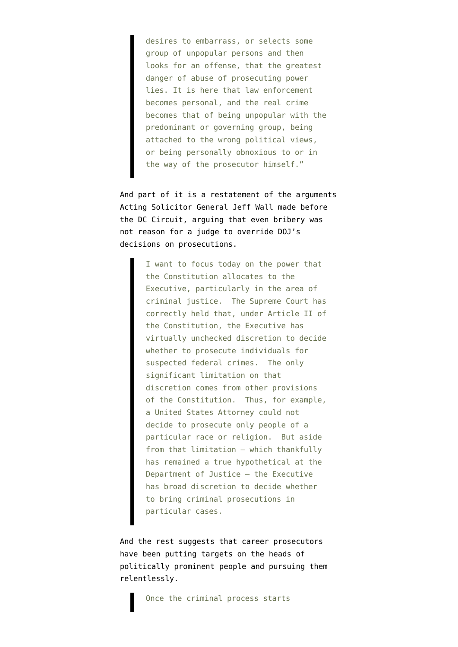desires to embarrass, or selects some group of unpopular persons and then looks for an offense, that the greatest danger of abuse of prosecuting power lies. It is here that law enforcement becomes personal, and the real crime becomes that of being unpopular with the predominant or governing group, being attached to the wrong political views, or being personally obnoxious to or in the way of the prosecutor himself."

And part of it is a restatement of the arguments Acting Solicitor General Jeff Wall made before the DC Circuit, arguing that even bribery was not reason for a judge to override DOJ's decisions on prosecutions.

> I want to focus today on the power that the Constitution allocates to the Executive, particularly in the area of criminal justice. The Supreme Court has correctly held that, under Article II of the Constitution, the Executive has virtually unchecked discretion to decide whether to prosecute individuals for suspected federal crimes. The only significant limitation on that discretion comes from other provisions of the Constitution. Thus, for example, a United States Attorney could not decide to prosecute only people of a particular race or religion. But aside from that limitation — which thankfully has remained a true hypothetical at the Department of Justice — the Executive has broad discretion to decide whether to bring criminal prosecutions in particular cases.

And the rest suggests that career prosecutors have been putting targets on the heads of politically prominent people and pursuing them relentlessly.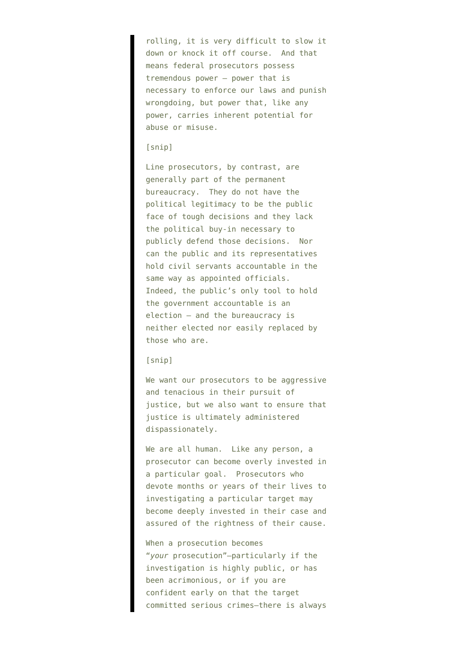rolling, it is very difficult to slow it down or knock it off course. And that means federal prosecutors possess tremendous power — power that is necessary to enforce our laws and punish wrongdoing, but power that, like any power, carries inherent potential for abuse or misuse.

### [snip]

Line prosecutors, by contrast, are generally part of the permanent bureaucracy. They do not have the political legitimacy to be the public face of tough decisions and they lack the political buy-in necessary to publicly defend those decisions. Nor can the public and its representatives hold civil servants accountable in the same way as appointed officials. Indeed, the public's only tool to hold the government accountable is an election — and the bureaucracy is neither elected nor easily replaced by those who are.

#### [snip]

We want our prosecutors to be aggressive and tenacious in their pursuit of justice, but we also want to ensure that justice is ultimately administered dispassionately.

We are all human. Like any person, a prosecutor can become overly invested in a particular goal. Prosecutors who devote months or years of their lives to investigating a particular target may become deeply invested in their case and assured of the rightness of their cause.

When a prosecution becomes "*your* prosecution"—particularly if the investigation is highly public, or has been acrimonious, or if you are confident early on that the target committed serious crimes—there is always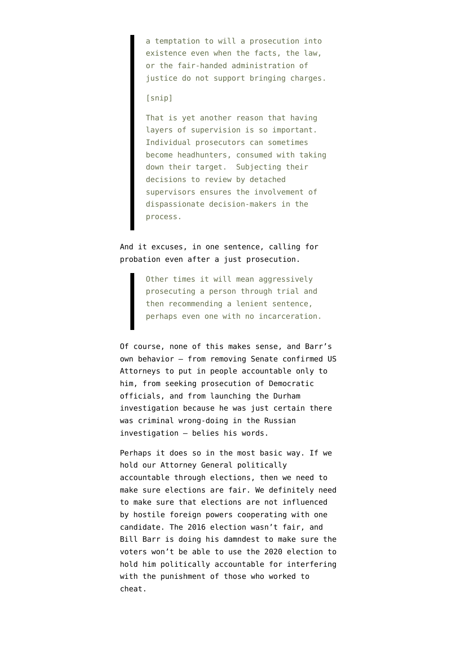a temptation to will a prosecution into existence even when the facts, the law, or the fair-handed administration of justice do not support bringing charges.

#### [snip]

That is yet another reason that having layers of supervision is so important. Individual prosecutors can sometimes become headhunters, consumed with taking down their target. Subjecting their decisions to review by detached supervisors ensures the involvement of dispassionate decision-makers in the process.

## And it excuses, in one sentence, calling for probation even after a just prosecution.

Other times it will mean aggressively prosecuting a person through trial and then recommending a lenient sentence, perhaps even one with no incarceration.

Of course, none of this makes sense, and Barr's own behavior — from removing Senate confirmed US Attorneys to put in people accountable only to him, from seeking prosecution of Democratic officials, and from launching the Durham investigation because he was just certain there was criminal wrong-doing in the Russian investigation — belies his words.

Perhaps it does so in the most basic way. If we hold our Attorney General politically accountable through elections, then we need to make sure elections are fair. We definitely need to make sure that elections are not influenced by hostile foreign powers cooperating with one candidate. The 2016 election wasn't fair, and Bill Barr is doing his damndest to make sure the voters won't be able to use the 2020 election to hold him politically accountable for interfering with the punishment of those who worked to cheat.